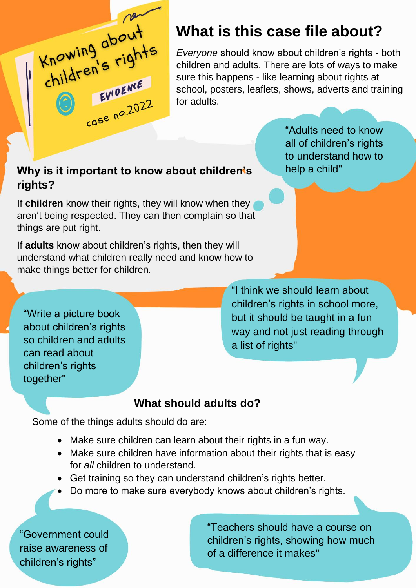Knowing about EVIDENCE  $rac{EV}{100}$   $2022$ 

## **What is this case file about?**

*Everyone* should know about children's rights - both children and adults. There are lots of ways to make sure this happens - like learning about rights at school, posters, leaflets, shows, adverts and training for adults.

#### **Why is it important to know about children's rights?**

If **children** know their rights, they will know when they aren't being respected. They can then complain so that things are put right.

If **adults** know about children's rights, then they will understand what children really need and know how to make things better for children.

"Write a picture book about children's rights so children and adults can read about children's rights together"

to understand how to help a child"

"Adults need to know all of children's rights

"I think we should learn about children's rights in school more, but it should be taught in a fun way and not just reading through a list of rights"

#### **What should adults do?**

Some of the things adults should do are:

- Make sure children can learn about their rights in a fun way.
- Make sure children have information about their rights that is easy for *all* children to understand.
- Get training so they can understand children's rights better.
- Do more to make sure everybody knows about children's rights.

"Government could raise awareness of children's rights"

"Teachers should have a course on children's rights, showing how much of a difference it makes"